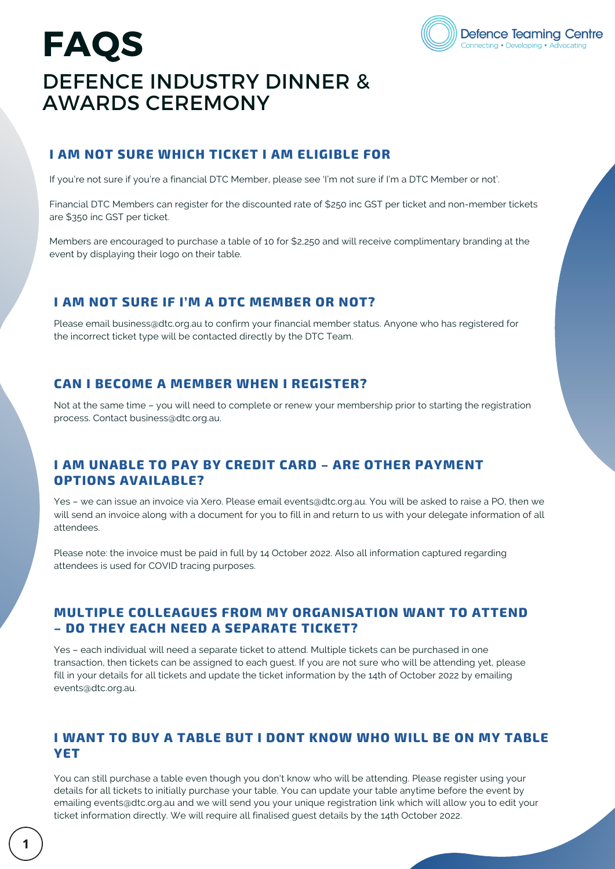

# **FAQS** DEFENCE INDUSTRY DINNER & AWARDS CEREMONY

# **I AM NOT SURE WHICH TICKET I AM ELIGIBLE FOR**

If you're not sure if you're a financial DTC Member, please see 'I'm not sure if I'm a DTC Member or not'.

Financial DTC Members can register for the discounted rate of \$250 inc GST per ticket and non-member tickets are \$350 inc GST per ticket.

Members are encouraged to purchase a table of 10 for \$2,250 and will receive complimentary branding at the event by displaying their logo on their table.

# **I AM NOT SURE IF I'M A DTC MEMBER OR NOT?**

Please email business@dtc.org.au to confirm your financial member status. Anyone who has registered for the incorrect ticket type will be contacted directly by the DTC Team.

## **CAN I BECOME A MEMBER WHEN I REGISTER?**

Not at the same time – you will need to complete or renew your membership prior to starting the registration process. Contact business@dtc.org.au.

# **I AM UNABLE TO PAY BY CREDIT CARD – ARE OTHER PAYMENT OPTIONS AVAILABLE?**

Yes – we can issue an invoice via Xero. Please email [events@dtc.org.au.](mailto:events@dtc.org.au) You will be asked to raise a PO, then we will send an invoice along with a document for you to fill in and return to us with your delegate information of all attendees.

Please note: the invoice must be paid in full by 14 October 2022. Also all information captured regarding attendees is used for COVID tracing purposes.

# **MULTIPLE COLLEAGUES FROM MY ORGANISATION WANT TO ATTEND – DO THEY EACH NEED A SEPARATE TICKET?**

Yes – each individual will need a separate ticket to attend. Multiple tickets can be purchased in one transaction, then tickets can be assigned to each guest. If you are not sure who will be attending yet, please fill in your details for all tickets and update the ticket information by the 14th of October 2022 by emailing events@dtc.org.au.

## **I WANT TO BUY A TABLE BUT I DONT KNOW WHO WILL BE ON MY TABLE YET**

You can still purchase a table even though you don't know who will be attending. Please register using your details for all tickets to initially purchase your table. You can update your table anytime before the event by emailing events@dtc.org.au and we will send you your unique registration link which will allow you to edit your ticket information directly. We will require all finalised guest details by the 14th October 2022.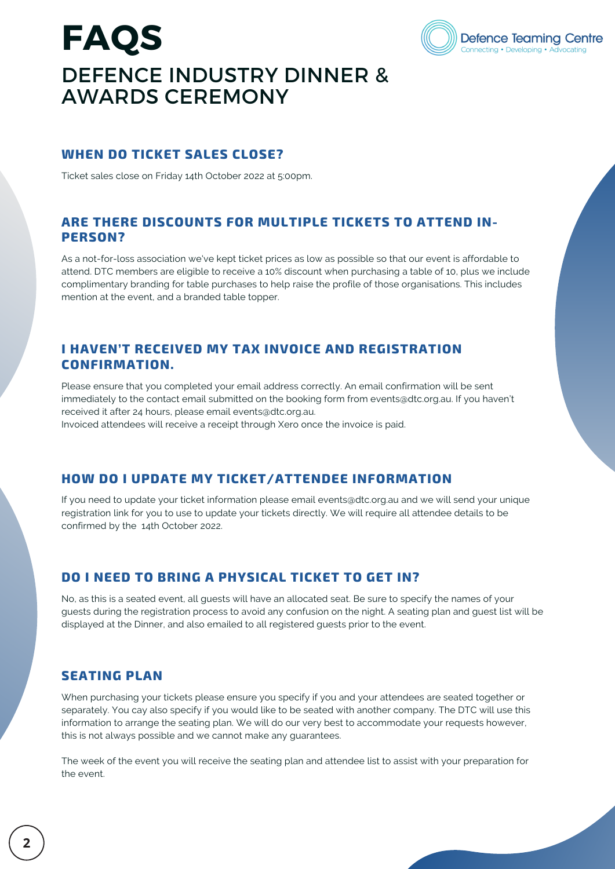# **FAQS** DEFENCE INDUSTRY DINNER & AWARDS CEREMONY



Ticket sales close on Friday 14th October 2022 at 5:00pm.

# **ARE THERE DISCOUNTS FOR MULTIPLE TICKETS TO ATTEND IN-PERSON?**

As a not-for-loss association we've kept ticket prices as low as possible so that our event is affordable to attend. DTC members are eligible to receive a 10% discount when purchasing a table of 10, plus we include complimentary branding for table purchases to help raise the profile of those organisations. This includes mention at the event, and a branded table topper.

Defence Teaming Centre Connecting • Developing • Advocating

# **I HAVEN'T RECEIVED MY TAX INVOICE AND REGISTRATION CONFIRMATION.**

Please ensure that you completed your email address correctly. An email confirmation will be sent immediately to the contact email submitted on the booking form from [events@dtc.org.au](mailto:events@dtc.org.au). If you haven't received it after 24 hours, please email [events@dtc.org.au](mailto:events@dtc.org.au).

Invoiced attendees will receive a receipt through Xero once the invoice is paid.

# **HOW DO I UPDATE MY TICKET/ATTENDEE INFORMATION**

If you need to update your ticket information please email events@dtc.org.au and we will send your unique registration link for you to use to update your tickets directly. We will require all attendee details to be confirmed by the 14th October 2022.

# **DO I NEED TO BRING A PHYSICAL TICKET TO GET IN?**

No, as this is a seated event, all guests will have an allocated seat. Be sure to specify the names of your guests during the registration process to avoid any confusion on the night. A seating plan and guest list will be displayed at the Dinner, and also emailed to all registered guests prior to the event.

## **SEATING PLAN**

When purchasing your tickets please ensure you specify if you and your attendees are seated together or separately. You cay also specify if you would like to be seated with another company. The DTC will use this information to arrange the seating plan. We will do our very best to accommodate your requests however, this is not always possible and we cannot make any guarantees.

The week of the event you will receive the seating plan and attendee list to assist with your preparation for the event.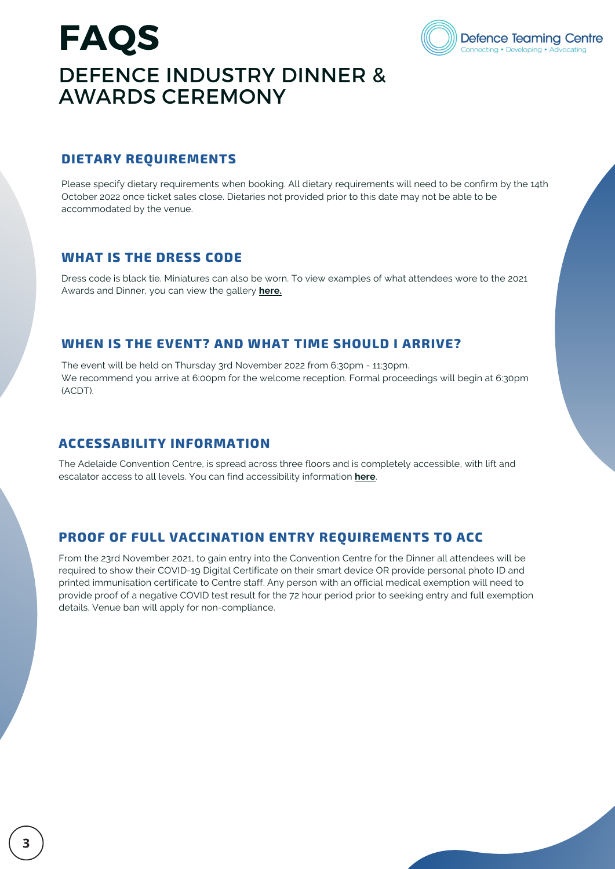



## **DIETARY REQUIREMENTS**

Please specify dietary requirements when booking. All dietary requirements will need to be confirm by the 14th October 2022 once ticket sales close. Dietaries not provided prior to this date may not be able to be accommodated by the venue.

#### **WHAT IS THE DRESS CODE**

Dress code is black tie. Miniatures can also be worn. To view examples of what attendees wore to the 2021 Awards and Dinner, you can view the gallery **[here.](https://dtc.org.au/annual-dinner2021/)**

#### **WHEN IS THE EVENT? AND WHAT TIME SHOULD I ARRIVE?**

The event will be held on Thursday 3rd November 2022 from 6:30pm - 11:30pm. We recommend you arrive at 6:00pm for the welcome reception. Formal proceedings will begin at 6:30pm (ACDT).

#### **ACCESSABILITY INFORMATION**

The Adelaide Convention Centre, is spread across three floors and is completely accessible, with lift and escalator access to all levels. You can find accessibility information **[here](https://www.adelaidecc.com.au/content/uploads/2021/07/ACC-Access-and-Inclusion-Plan.pdf)**.

#### **PROOF OF FULL VACCINATION ENTRY REQUIREMENTS TO ACC**

From the 23rd November 2021, to gain entry into the Convention Centre for the Dinner all attendees will be required to show their COVID-19 Digital Certificate on their smart device OR provide personal photo ID and printed immunisation certificate to Centre staff. Any person with an official medical exemption will need to provide proof of a negative COVID test result for the 72 hour period prior to seeking entry and full exemption details. Venue ban will apply for non-compliance.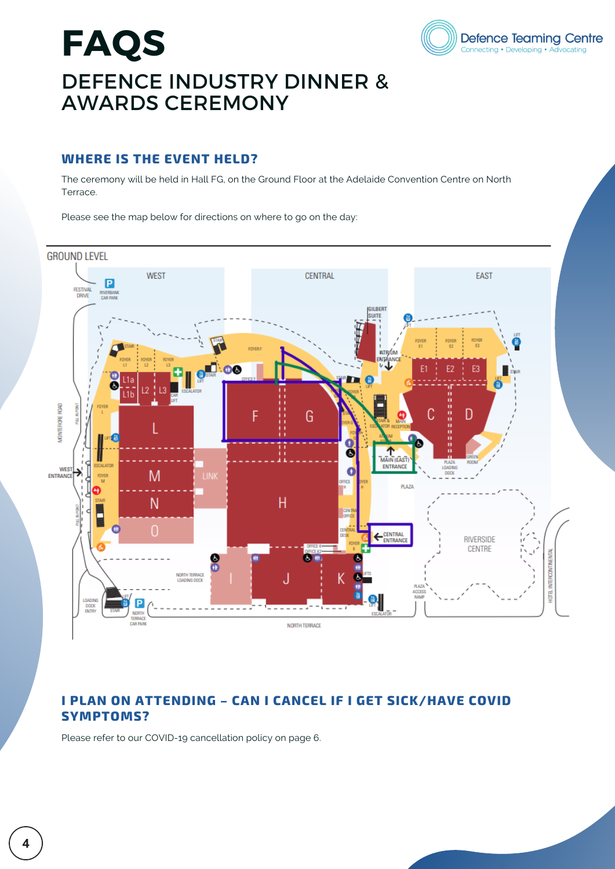

#### **WHERE IS THE EVENT HELD?**

The ceremony will be held in Hall FG, on the Ground Floor at the Adelaide Convention Centre on North Terrace.

**Defence Teaming Centre** Connecting • Developing • Advocating

Please see the map below for directions on where to go on the day:



# **I PLAN ON ATTENDING – CAN I CANCEL IF I GET SICK/HAVE COVID SYMPTOMS?**

Please refer to our COVID-19 cancellation policy on page 6.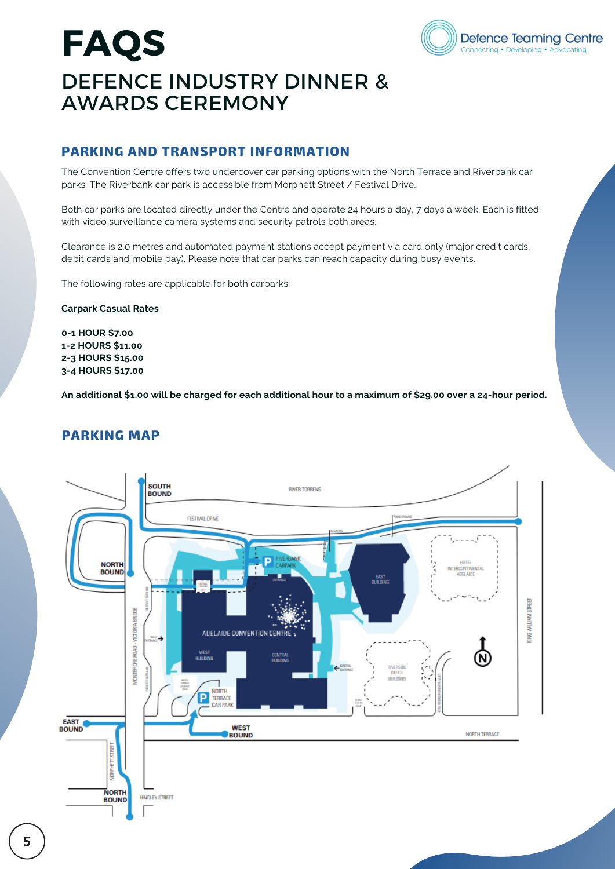# **FAQS** DEFENCE INDUSTRY DINNER & AWARDS CEREMONY



# **PARKING AND TRANSPORT INFORMATION**

The Convention Centre offers two undercover car parking options with the North Terrace and Riverbank car parks. The Riverbank car park is accessible from Morphett Street / Festival Drive.

Both car parks are located directly under the Centre and operate 24 hours a day, 7 days a week. Each is fitted with video surveillance camera systems and security patrols both areas.

Clearance is 2.0 metres and automated payment stations accept payment via card only (major credit cards, debit cards and mobile pay). Please note that car parks can reach capacity during busy events.

The following rates are applicable for both carparks:

#### **Carpark Casual Rates**

**0-1 HOUR \$7.00 1-2 HOURS \$11.00 2-3 HOURS \$15.00 3-4 HOURS \$17.00**

An additional \$1.00 will be charged for each additional hour to a maximum of \$29.00 over a 24-hour period.

# **PARKING MAP**